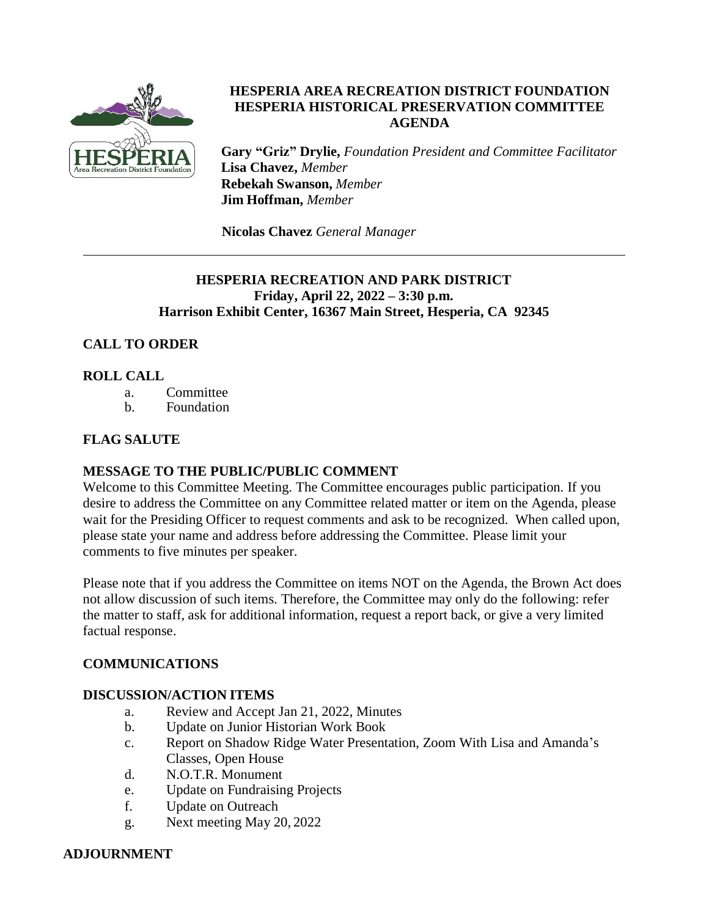

### **HESPERIA AREA RECREATION DISTRICT FOUNDATION HESPERIA HISTORICAL PRESERVATION COMMITTEE AGENDA**

**Gary "Griz" Drylie,** *Foundation President and Committee Facilitator* **Lisa Chavez,** *Member* **Rebekah Swanson,** *Member* **Jim Hoffman,** *Member*

**Nicolas Chavez** *General Manager*

### **HESPERIA RECREATION AND PARK DISTRICT Friday, April 22, 2022 – 3:30 p.m. Harrison Exhibit Center, 16367 Main Street, Hesperia, CA 92345**

# **CALL TO ORDER**

### **ROLL CALL**

- a. Committee
- b. Foundation

# **FLAG SALUTE**

### **MESSAGE TO THE PUBLIC/PUBLIC COMMENT**

Welcome to this Committee Meeting. The Committee encourages public participation. If you desire to address the Committee on any Committee related matter or item on the Agenda, please wait for the Presiding Officer to request comments and ask to be recognized. When called upon, please state your name and address before addressing the Committee. Please limit your comments to five minutes per speaker.

Please note that if you address the Committee on items NOT on the Agenda, the Brown Act does not allow discussion of such items. Therefore, the Committee may only do the following: refer the matter to staff, ask for additional information, request a report back, or give a very limited factual response.

### **COMMUNICATIONS**

### **DISCUSSION/ACTION ITEMS**

- a. Review and Accept Jan 21, 2022, Minutes
- b. Update on Junior Historian Work Book
- c. Report on Shadow Ridge Water Presentation, Zoom With Lisa and Amanda's Classes, Open House
- d. N.O.T.R. Monument
- e. Update on Fundraising Projects
- f. Update on Outreach
- g. Next meeting May 20, 2022

### **ADJOURNMENT**